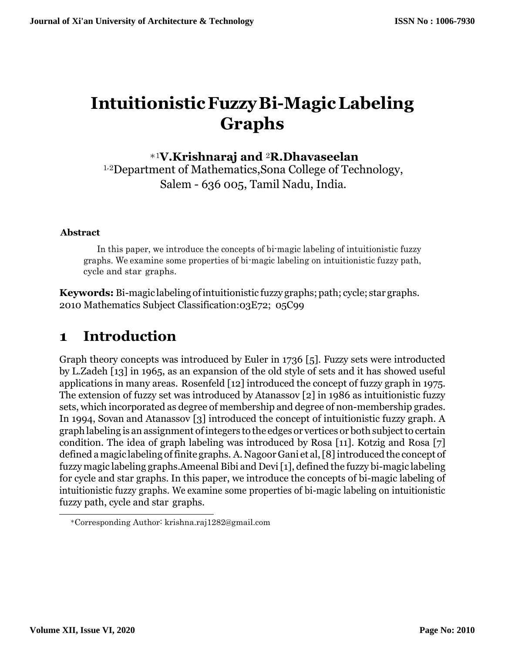# **IntuitionisticFuzzyBi-MagicLabeling Graphs**

#### <sup>∗</sup>1**V.Krishnaraj and** 2**R.Dhavaseelan**

<sup>1</sup>*,*2Department of Mathematics,Sona College of Technology, Salem - 636 005, Tamil Nadu, India.

#### **Abstract**

In this paper, we introduce the concepts of bi-magic labeling of intuitionistic fuzzy graphs. We examine some properties of bi-magic labeling on intuitionistic fuzzy path, cycle and star graphs.

**Keywords:** Bi-magic labeling ofintuitionistic fuzzy graphs;path; cycle; star graphs. 2010 Mathematics Subject Classification:03E72; 05C99

### **1 Introduction**

Graph theory concepts was introduced by Euler in 1736 [\[5\].](#page-13-0) Fuzzy sets were introducted by L.Zadeh [\[13\]](#page-13-1) in 1965, as an expansion of the old style of sets and it has showed useful applications in many areas. Rosenfeld [\[12\]](#page-13-2) introduced the concept of fuzzy graph in 1975. The extension of fuzzy set was introduced by Atanassov [\[2\]](#page-13-3) in 1986 as intuitionistic fuzzy sets, which incorporated as degree of membership and degree of non-membership grades. In 1994, Sovan and Atanassov [\[3\]](#page-13-4) introduced the concept of intuitionistic fuzzy graph. A graph labeling is an assignment of integers to the edges or vertices or both subject to certain condition. The idea of graph labeling was introduced by Rosa [\[11\].](#page-13-5) Kotzig and Rosa [\[7\]](#page-13-6) defined a magic labeling of finite graphs. A. Nagoor Gani et al, [8] introduced the concept of fuzzy magic labeling graphs.Ameenal Bibi and Dev[i\[1\],](#page-13-8) defined the fuzzy bi-magic labeling for cycle and star graphs. In this paper, we introduce the concepts of bi-magic labeling of intuitionistic fuzzy graphs. We examine some properties of bi-magic labeling on intuitionistic fuzzy path, cycle and star graphs.

<sup>∗</sup>Corresponding Author: [krishna.ra](mailto:krishna.raj1282@gmail.com)[j1282@gmail.com](mailto:j1282@gmail.com)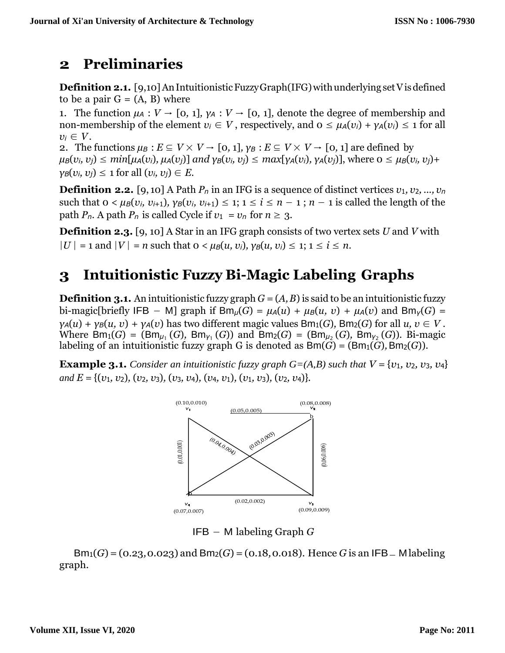#### **2 Preliminaries**

**Definition 2.1.** [\[9,](#page-13-9)10] An Intuitionistic Fuzzy Graph(IFG) with underlying set V is defined to be a pair  $G = (A, B)$  where

1. The function  $\mu_A : V \to [0, 1]$ ,  $\gamma_A : V \to [0, 1]$ , denote the degree of membership and non-membership of the element  $v_i \in V$ , respectively, and  $0 \leq \mu_A(v_i) + \gamma_A(v_i) \leq 1$  for all  $v_i \in V$ .

2. The functions  $\mu_B : E \subseteq V \times V \to [0, 1], \gamma_B : E \subseteq V \times V \to [0, 1]$  are defined by  $\mu_B(v_i, v_i) \leq \min[\mu_A(v_i), \mu_A(v_i)]$  and  $\gamma_B(v_i, v_i) \leq \max[\gamma_A(v_i), \gamma_A(v_i)]$ , where  $0 \leq \mu_B(v_i, v_i)$ +  $\gamma_B(v_i, v_j) \leq 1$  for all  $(v_i, v_j) \in E$ .

**Definition 2.2.** [\[9,](#page-13-9) [10\]](#page-13-10) A Path  $P_n$  in an IFG is a sequence of distinct vertices  $v_1, v_2, ..., v_n$ such that  $0 < \mu_B(v_i, v_{i+1}), \gamma_B(v_i, v_{i+1}) \leq 1$ ;  $1 \leq i \leq n-1$ ;  $n-1$  is called the length of the path  $P_n$ . A path  $P_n$  is called Cycle if  $v_1 = v_n$  for  $n \ge 3$ .

**Definition 2.3.** [\[9,](#page-13-9) [10\]](#page-13-10) A Star in an IFG graph consists of two vertex sets *U* and *V* with  $|U| = 1$  and  $|V| = n$  such that  $0 \lt \mu B(u, v_i)$ ,  $\gamma B(u, v_i) \leq 1$ ;  $1 \leq i \leq n$ .

## **3 Intuitionistic Fuzzy Bi-Magic Labeling Graphs**

**Definition 3.1.** An intuitionistic fuzzy graph  $G = (A, B)$  is said to be an intuitionistic fuzzy bi-magic[briefly IFB – M] graph if  $Bm<sub>µ</sub>(G) = \mu<sub>A</sub>(u) + \mu<sub>B</sub>(u, v) + \mu<sub>A</sub>(v)$  and  $Bm<sub>Y</sub>(G) =$  $\gamma_A(u) + \gamma_B(u, v) + \gamma_A(v)$  has two different magic values Bm<sub>1</sub>(*G*)*, Bm<sub>2</sub>(G*) for all *u, v*  $\in V$ . Where  $Bm_1(G) = (Bm_{\mu_1}(G), Bm_{\gamma_1}(G))$  and  $Bm_2(G) = (Bm_{\mu_2}(G), Bm_{\gamma_2}(G))$ . Bi-magic labeling of an intuitionistic fuzzy graph G is denoted as  $\text{Bm}(G) = (\text{Bm}_1(G), \text{Bm}_2(G))$ .

**Example 3.1.** *Consider an intuitionistic fuzzy graph*  $G=(A,B)$  *such that*  $V = \{v_1, v_2, v_3, v_4\}$ *and E* = {(*v*1*, v*2)*,* (*v*2*, v*3)*,* (*v*3*, v*4)*,* (*v*4*, v*1)*,* (*v*1*, v*3)*,* (*v*2*, v*4)}*.*



IFB − M labeling Graph *G*

 $Bm_1(G) = (0.23, 0.023)$  and  $Bm_2(G) = (0.18, 0.018)$ . Hence *G* is an IFB – Mlabeling graph.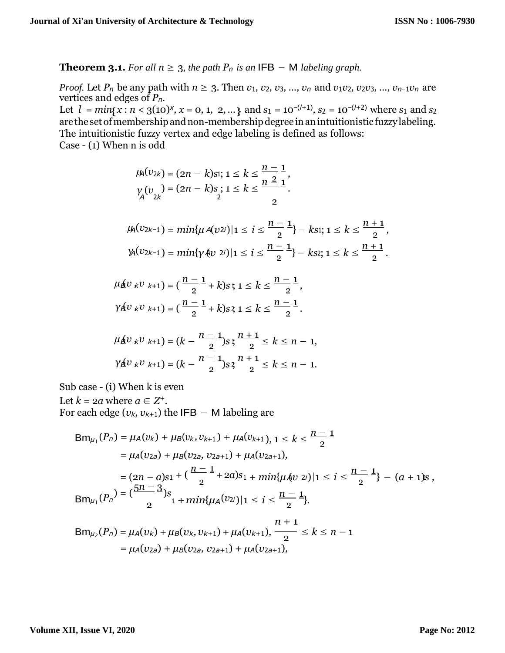**Theorem 3.1.** For all  $n \geq 3$ , the path  $P_n$  is an IFB – M labeling graph.

*Proof.* Let  $P_n$  be any path with  $n \geq 3$ . Then  $v_1, v_2, v_3, ..., v_n$  and  $v_1v_2, v_2v_3, ..., v_{n-1}v_n$  are vertices and edges of *Pn*.

Let  $l = min\{x : n < 3(10)^x, x = 0, 1, 2, ...\}$  and  $s_1 = 10^{-(l+1)}$ ,  $s_2 = 10^{-(l+2)}$  where  $s_1$  and  $s_2$ are the set of membership and non-membership degree in an intuitionistic fuzzy labeling. The intuitionistic fuzzy vertex and edge labeling is defined as follows: Case - (1) When n is odd

$$
\mu_{\mathsf{A}}(v_{2k}) = (2n - k)\mathrm{si}; 1 \leq k \leq \frac{n-1}{n^2},
$$
  

$$
\gamma_{\mathsf{A}}(v_{2k}) = (2n - k)\mathrm{s}; 1 \leq k \leq \frac{n^2}{n^2},
$$

$$
\mu_{\lambda}(v_{2k-1}) = \min\{\mu \, \text{A}(v_{2i}) \mid 1 \leq i \leq \frac{n-1}{2}\} - k s_1; \, 1 \leq k \leq \frac{n+1}{2},
$$
\n
$$
\mu_{\lambda}(v_{2k-1}) = \min\{\gamma \, \text{A}(v_{2i}) \mid 1 \leq i \leq \frac{n-1}{2}\} - k s_2; \, 1 \leq k \leq \frac{n+1}{2}.
$$

$$
\mu_{\mathbf{A}}(v_{k}v_{k+1}) = \left(\frac{n-1}{2} + k\right)s\mathfrak{x} \leq k \leq \frac{n-1}{2},
$$
  

$$
\gamma_{\mathbf{A}}(v_{k}v_{k+1}) = \left(\frac{n-1}{2} + k\right)s\mathfrak{x} \leq k \leq \frac{n-1}{2}.
$$

$$
\mu_{\mathbf{B}}(v_{k}v_{k+1}) = (k - \frac{n-1}{2})s; \frac{n+1}{2} \le k \le n-1,
$$
  

$$
\gamma_{\mathbf{B}}(v_{k}v_{k+1}) = (k - \frac{n-1}{2})s; \frac{n+1}{2} \le k \le n-1.
$$

Sub case - (i) When k is even

Let  $k = 2a$  where  $a \in Z^+$ .

For each edge ( $v_k$ ,  $v_{k+1}$ ) the IFB – M labeling are

$$
Bm_{\mu_1}(P_n) = \mu_A(v_k) + \mu_B(v_k, v_{k+1}) + \mu_A(v_{k+1}), 1 \le k \le \frac{n-1}{2}
$$
  
\n
$$
= \mu_A(v_{2a}) + \mu_B(v_{2a}, v_{2a+1}) + \mu_A(v_{2a+1}),
$$
  
\n
$$
= (2n - a)s_1 + (\frac{n-1}{2} + 2a)s_1 + min\{\mu_A(v_{2i})|1 \le i \le \frac{n-1}{2}\} - (a + 1)s,
$$
  
\n
$$
Bm_{\mu_1}(P_n) = (\frac{5n-3}{2})s_1 + min\{\mu_A(v_{2i})|1 \le i \le \frac{n-1}{2}\}.
$$
  
\n
$$
Bm_{\mu_2}(P_n) = \mu_A(v_k) + \mu_B(v_k, v_{k+1}) + \mu_A(v_{k+1}), \frac{n+1}{2} \le k \le n-1
$$
  
\n
$$
= \mu_A(v_{2a}) + \mu_B(v_{2a}, v_{2a+1}) + \mu_A(v_{2a+1}),
$$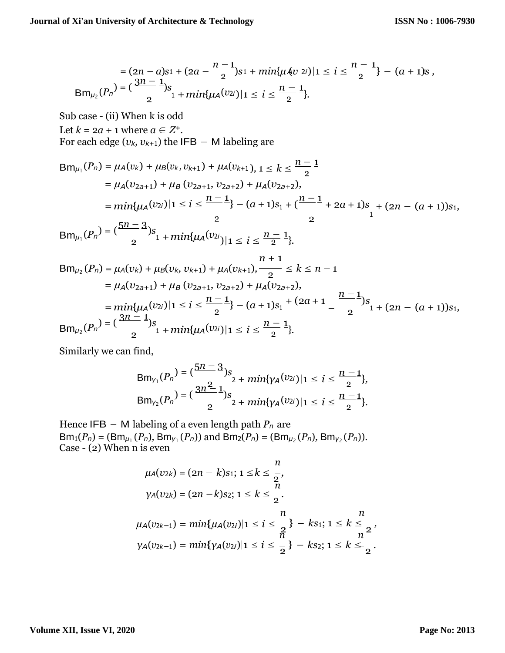$$
= (2n - a)s_1 + (2a - \frac{n-1}{2})s_1 + min\{\mu \& 2i\} | 1 \le i \le \frac{n-1}{2} \} - (a+1)s,
$$
  
\n
$$
Bm_{\mu_2}(P_n) = \left(\frac{3n-1}{2}\right)s_1 + min\{\mu_A(v_{2i}) | 1 \le i \le \frac{n-1}{2}\}.
$$

Sub case - (ii) When k is odd Let  $k = 2a + 1$  where  $a \in Z^+$ . For each edge ( $v_k$ ,  $v_{k+1}$ ) the IFB – M labeling are

$$
Bm_{\mu_1}(P_n) = \mu_A(v_k) + \mu_B(v_k, v_{k+1}) + \mu_A(v_{k+1}), 1 \le k \le \frac{n-1}{2}
$$
  
=  $\mu_A(v_{2a+1}) + \mu_B(v_{2a+1}, v_{2a+2}) + \mu_A(v_{2a+2}),$   
=  $min\{\mu_A(v_{2i})|1 \le i \le \frac{n-1}{2}\} - (a+1)s_1 + (\frac{n-1}{2} + 2a + 1)s_1 + (2n - (a+1))s_1,$   

$$
Bm_{\mu_1}(P_n) = (\frac{5n-3}{2})s_1 + min\{\mu_A(v_{2i})|1 \le i \le \frac{n-1}{2}\}.
$$

$$
Bm_{\mu_2}(P_n) = \mu_A(v_k) + \mu_B(v_k, v_{k+1}) + \mu_A(v_{k+1}), \frac{n+1}{2} \le k \le n-1
$$
  
\n
$$
= \mu_A(v_{2a+1}) + \mu_B(v_{2a+1}, v_{2a+2}) + \mu_A(v_{2a+2}),
$$
  
\n
$$
= \min\{\mu_A(v_{2i}) | 1 \le i \le \frac{n-1}{2} \} - (a+1)s_1 + (2a+1 - \frac{n-1}{2})s_1 + (2n - (a+1))s_1,
$$
  
\n
$$
Bm_{\mu_2}(P_n) = \left(\frac{3n-1}{2}\right)s_1 + \min\{\mu_A(v_{2i}) | 1 \le i \le \frac{n-1}{2} \}.
$$

Similarly we can find,

$$
Bm_{\gamma_1}(P_n) = \left(\frac{5n-3}{2}\right) s_2 + min\{\gamma_A(v_{2i}) | 1 \le i \le \frac{n-1}{2}\},
$$
  
\n
$$
Bm_{\gamma_2}(P_n) = \left(\frac{3n^2}{2}\right) s_2 + min\{\gamma_A(v_{2i}) | 1 \le i \le \frac{n-1}{2}\}.
$$

Hence IFB − M labeling of a even length path *P<sup>n</sup>* are  $Bm_1(P_n) = (Bm_{\mu_1}(P_n), Bm_{\gamma_1}(P_n))$  and  $\overline{Bm_2(P_n)} = (Bm_{\mu_2}(P_n), Bm_{\gamma_2}(P_n))$ . Case - (2) When n is even

$$
\mu_{A}(v_{2k}) = (2n - k)s_{1}; 1 \leq k \leq \frac{n}{2},
$$
\n
$$
\gamma_{A}(v_{2k}) = (2n - k)s_{2}; 1 \leq k \leq \frac{n}{2}.
$$
\n
$$
\mu_{A}(v_{2k-1}) = min\{\mu_{A}(v_{2i}) | 1 \leq i \leq \frac{n}{2}\} - k s_{1}; 1 \leq k \leq \frac{n}{2},
$$
\n
$$
\gamma_{A}(v_{2k-1}) = min\{\gamma_{A}(v_{2i}) | 1 \leq i \leq \frac{n}{2}\} - k s_{2}; 1 \leq k \leq \frac{n}{2}.
$$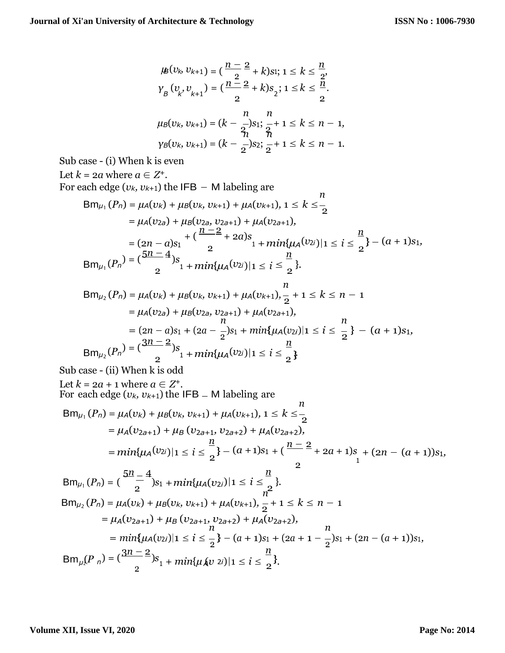$$
\mu_{B}(v_{k}, v_{k+1}) = \left(\frac{n-2}{2} + k\right)s_{1}; 1 \leq k \leq \frac{n}{2},
$$
\n
$$
\gamma_{B}(v_{k}, v_{k+1}) = \left(\frac{n-2}{2} + k\right)s_{2}; 1 \leq k \leq \frac{n}{2},
$$
\n
$$
\mu_{B}(v_{k}, v_{k+1}) = (k - \frac{n}{2})s_{1}; \frac{n}{2} + 1 \leq k \leq n - 1,
$$
\n
$$
\gamma_{B}(v_{k}, v_{k+1}) = (k - \frac{1}{2})s_{2}; \frac{n}{2} + 1 \leq k \leq n - 1.
$$

Sub case - (i) When k is even

Let  $k = 2a$  where  $a \in Z^+$ .

For each edge ( $v_k$ ,  $v_{k+1}$ ) the IFB – M labeling are

$$
Bm_{\mu_1}(P_n) = \mu_A(v_k) + \mu_B(v_k, v_{k+1}) + \mu_A(v_{k+1}), 1 \le k \le \frac{n}{2}
$$
  
=  $\mu_A(v_{2a}) + \mu_B(v_{2a}, v_{2a+1}) + \mu_A(v_{2a+1}),$   
=  $(2n - a)s_1 + (\frac{n-2}{2} + 2a)s_1 + min\{\mu_A(v_{2i})| 1 \le i \le \frac{n}{2}\} - (a + 1)s_1,$   

$$
Bm_{\mu_1}(P_n) = (\frac{5n-4}{2})s_1 + min\{\mu_A(v_{2i})| 1 \le i \le \frac{n}{2}\}.
$$

$$
Bm_{\mu_2}(P_n) = \mu_A(v_k) + \mu_B(v_k, v_{k+1}) + \mu_A(v_{k+1}), \frac{n}{2} + 1 \le k \le n - 1
$$
  
\n
$$
= \mu_A(v_{2a}) + \mu_B(v_{2a}, v_{2a+1}) + \mu_A(v_{2a+1}),
$$
  
\n
$$
= (2n - a)s_1 + (2a - \frac{1}{2})s_1 + min\{\mu_A(v_{2i}) | 1 \le i \le \frac{n}{2}\} - (a + 1)s_1,
$$
  
\n
$$
Bm_{\mu_2}(P_n) = \left(\frac{3n - 2}{2}\right)s_1 + min\{\mu_A(v_{2i}) | 1 \le i \le \frac{n}{2}\}
$$

Sub case - (ii) When k is odd

Let 
$$
k = 2a + 1
$$
 where  $a \in \mathbb{Z}^+$ .  
\nFor each edge  $(v_k, v_{k+1})$  the IFB – M labeling are  
\n
$$
Bm_{\mu_1}(P_n) = \mu_A(v_k) + \mu_B(v_k, v_{k+1}) + \mu_A(v_{k+1}), 1 \le k \le \frac{n}{2}
$$
\n
$$
= \mu_A(v_{2a+1}) + \mu_B(v_{2a+1}, v_{2a+2}) + \mu_A(v_{2a+2}),
$$
\n
$$
= min\{\mu_A(v_{2i}) | 1 \le i \le \frac{n}{2}\} - (a + 1)s_1 + (\frac{n-2}{2} + 2a + 1)s_1 + (2n - (a + 1))s_1,
$$
\n
$$
Bm_{\mu_1}(P_n) = (\frac{5n-4}{2})s_1 + min\{\mu_A(v_{2i}) | 1 \le i \le \frac{n}{2}\}.
$$
\n
$$
Bm_{\mu_2}(P_n) = \mu_A(v_k) + \mu_B(v_k, v_{k+1}) + \mu_A(v_{k+1}), \frac{n}{2} + 1 \le k \le n - 1
$$
\n
$$
= \mu_A(v_{2a+1}) + \mu_B(v_{2a+1}, v_{2a+2}) + \mu_A(v_{2a+2}),
$$
\n
$$
= min\{\mu_A(v_{2i}) | 1 \le i \le \frac{n}{2}\} - (a + 1)s_1 + (2a + 1 - \frac{n}{2})s_1 + (2n - (a + 1))s_1,
$$
\n
$$
Bm_{\mu_2}(P_n) = (\frac{3n-2}{2})s_1 + min\{\mu_A(v_{2i}) | 1 \le i \le \frac{n}{2}\}.
$$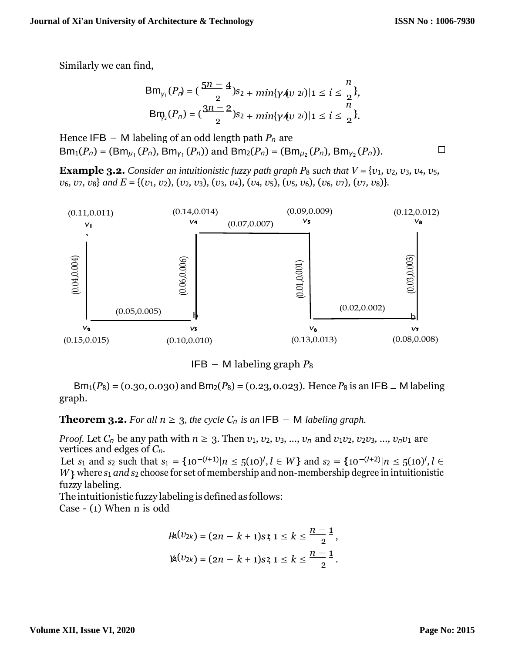$\Box$ 

Similarly we can find,

$$
Bm_{\gamma_1}(P_n) = \left(\frac{5n-4}{2}\right)s_2 + \min\{\gamma \land v \text{ } 2i\} \mid 1 \leq i \leq \frac{n}{2}\},
$$
  
\n
$$
Bm_{\gamma_2}(P_n) = \left(\frac{3n-2}{2}\right)s_2 + \min\{\gamma \land v \text{ } 2i\} \mid 1 \leq i \leq \frac{n}{2}\}.
$$

Hence IFB − M labeling of an odd length path *P<sup>n</sup>* are  $Bm_1(P_n) = (Bm_{\mu_1}(P_n), Bm_{\nu_1}(P_n))$  and  $Bm_2(P_n) = (Bm_{\mu_2}(P_n), Bm_{\nu_2}(P_n))$ .

**Example 3.2.** Consider an intuitionistic fuzzy path graph  $P_8$  such that  $V = \{v_1, v_2, v_3, v_4, v_5, v_6, v_7, v_8, v_7, v_8, v_9, v_{10}\}$  $v_6$ ,  $v_7$ ,  $v_8$  and  $E = \{(v_1, v_2), (v_2, v_3), (v_3, v_4), (v_4, v_5), (v_5, v_6), (v_6, v_7), (v_7, v_8)\}.$ 



IFB − M labeling graph *P*<sup>8</sup>

 $Bm_1(P_8) = (0.30, 0.030)$  and  $Bm_2(P_8) = (0.23, 0.023)$ . Hence  $P_8$  is an IFB – M labeling graph.

**Theorem 3.2.** For all  $n \geq 3$ , the cycle  $C_n$  is an IFB – M labeling graph.

*Proof.* Let  $C_n$  be any path with  $n \geq 3$ . Then  $v_1, v_2, v_3, ..., v_n$  and  $v_1v_2, v_2v_3, ..., v_nv_1$  are vertices and edges of *Cn*.

W} where  $s_1$  *and*  $s_2$  choose for set of membership and non-membership degree in intuitionistic Let *s*<sub>1</sub> and *s*<sub>2</sub> such that  $s_1 = \{10^{-(l+1)}|n \le 5(10)^l, l \in W\}$  and  $s_2 = \{10^{-(l+2)}|n \le 5(10)^l, l \in W\}$ fuzzy labeling.

The intuitionistic fuzzy labeling is defined as follows: Case - (1) When n is odd

$$
\mu_1(v_{2k}) = (2n - k + 1)s \cdot 1 \leq k \leq \frac{n-1}{2},
$$
  

$$
\mu_1(v_{2k}) = (2n - k + 1)s \cdot 1 \leq k \leq \frac{n-1}{2}.
$$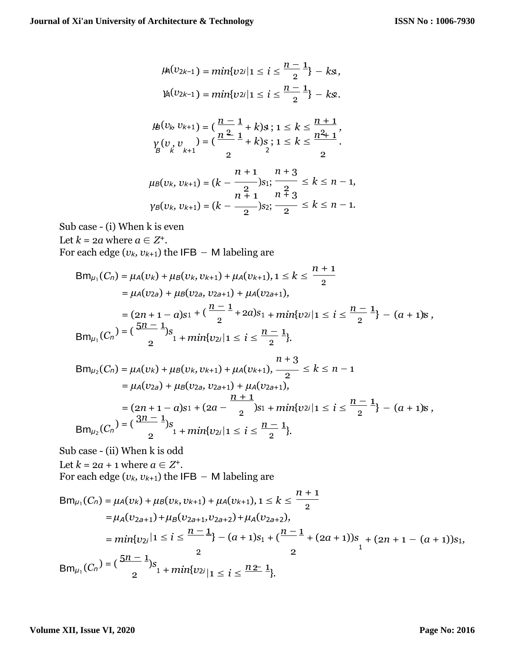$$
\mu_1(v_{2k-1}) = \min\{v_{2i} | 1 \le i \le \frac{n-1}{2}\} - k s,
$$
  

$$
\mu_1(v_{2k-1}) = \min\{v_{2i} | 1 \le i \le \frac{n-1}{2}\} - k s.
$$

$$
\mu_{B}(v_{k}, v_{k+1}) = \left(\frac{n-1}{n^{2}}+k\right)s; 1 \leq k \leq \frac{n+1}{n^{2}+1},
$$
  

$$
\gamma_{B}(v_{k}, v_{k+1}) = \left(\frac{n^{2}}{2}+k\right)s; 1 \leq k \leq \frac{n^{2}+1}{2}.
$$

$$
\mu_B(v_k, v_{k+1}) = (k - \frac{n+1}{2})s_1; \frac{n+3}{2} \le k \le n-1,
$$
  
\n
$$
\gamma_B(v_k, v_{k+1}) = (k - \frac{n+1}{2})s_2; \frac{n+3}{2} \le k \le n-1.
$$

Sub case - (i) When k is even

Let  $k = 2a$  where  $a \in Z^+$ . For each edge ( $v_k$ ,  $v_{k+1}$ ) the IFB − M labeling are

$$
Bm_{\mu_1}(C_n) = \mu_A(v_k) + \mu_B(v_k, v_{k+1}) + \mu_A(v_{k+1}), 1 \le k \le \frac{n+1}{2}
$$
  
=  $\mu_A(v_{2a}) + \mu_B(v_{2a}, v_{2a+1}) + \mu_A(v_{2a+1}),$   
=  $(2n + 1 - a)s_1 + (\frac{n-1}{2} + 2a)s_1 + min\{v_{2i} | 1 \le i \le \frac{n-1}{2}\} - (a+1)s,$   

$$
Bm_{\mu_1}(C_n) = (\frac{5n-1}{2})s_1 + min\{v_{2i} | 1 \le i \le \frac{n-1}{2}\}.
$$

$$
Bm_{\mu_2}(C_n) = \mu_A(v_k) + \mu_B(v_k, v_{k+1}) + \mu_A(v_{k+1}), \frac{n+3}{2} \le k \le n-1
$$
  
\n
$$
= \mu_A(v_{2a}) + \mu_B(v_{2a}, v_{2a+1}) + \mu_A(v_{2a+1}),
$$
  
\n
$$
= (2n+1-a)s_1 + (2a - \frac{n+1}{2})s_1 + min\{v_{2i} | 1 \le i \le \frac{n-1}{2}\} - (a+1)s,
$$
  
\n
$$
Bm_{\mu_2}(C_n) = \left(\frac{3n-1}{2}s_1 + min\{v_{2i} | 1 \le i \le \frac{n-1}{2}\}\right).
$$

Sub case - (ii) When k is odd Let  $k = 2a + 1$  where  $a \in Z^+$ .

For each edge (
$$
v_k
$$
,  $v_{k+1}$ ) the IFB – M labeling are

$$
Bm_{\mu_1}(C_n) = \mu_A(v_k) + \mu_B(v_k, v_{k+1}) + \mu_A(v_{k+1}), 1 \le k \le \frac{n+1}{2}
$$
  
=  $\mu_A(v_{2a+1}) + \mu_B(v_{2a+1}, v_{2a+2}) + \mu_A(v_{2a+2}),$   
=  $min\{v_{2i} | 1 \le i \le \frac{n-1}{2} \} - (a+1)s_1 + (\frac{n-1}{2} + (2a+1))s_1 + (2n+1 - (a+1))s_1,$   

$$
Bm_{\mu_1}(C_n) = (\frac{5n-1}{2})s_1 + min\{v_{2i} | 1 \le i \le \frac{n+1}{2} \}.
$$

#### **Volume XII, Issue VI, 2020**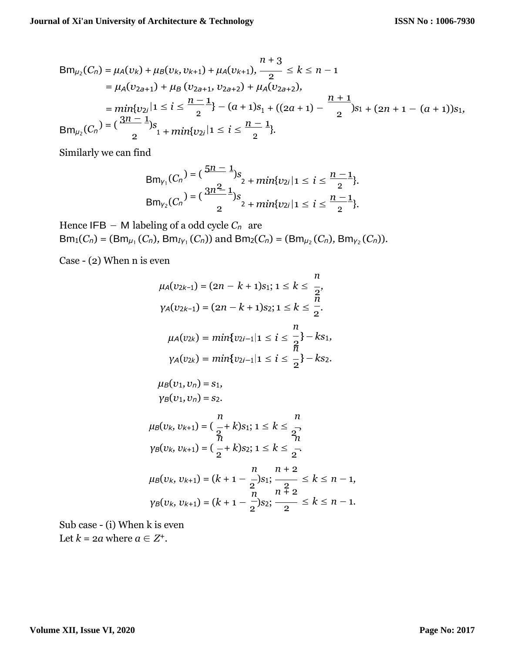$$
Bm_{\mu_2}(C_n) = \mu_A(v_k) + \mu_B(v_k, v_{k+1}) + \mu_A(v_{k+1}), \frac{n+3}{2} \le k \le n-1
$$
  
\n
$$
= \mu_A(v_{2a+1}) + \mu_B(v_{2a+1}, v_{2a+2}) + \mu_A(v_{2a+2}),
$$
  
\n
$$
= min\{v_{2i} | 1 \le i \le \frac{n-1}{2} \} - (a+1)s_1 + ((2a+1) - \frac{n+1}{2})s_1 + (2n+1 - (a+1))s_1,
$$
  
\n
$$
Bm_{\mu_2}(C_n) = (\frac{3n-1}{2})s_1 + min\{v_{2i} | 1 \le i \le \frac{n-1}{2} \}.
$$

Similarly we can find

$$
Bm_{\gamma_1}(C_n) = \left(\frac{5n-1}{2}\right) s_2 + \min\{v_{2i} | 1 \le i \le \frac{n-1}{2}\}.
$$
  
\n
$$
Bm_{\gamma_2}(C_n) = \left(\frac{3n^2-1}{2}\right) s_2 + \min\{v_{2i} | 1 \le i \le \frac{n-1}{2}\}.
$$

Hence IFB − M labeling of a odd cycle *C<sup>n</sup>* are  $Bm_1(C_n) = (Bm_{\mu_1}(C_n), Bm_{I_1}(C_n))$  and  $Bm_2(C_n) = (Bm_{\mu_2}(C_n), Bm_{\nu_2}(C_n))$ .

Case - (2) When n is even

$$
\mu_{A}(v_{2k-1}) = (2n - k + 1)s_{1}; 1 \leq k \leq \frac{n}{2},
$$
\n
$$
\gamma_{A}(v_{2k-1}) = (2n - k + 1)s_{2}; 1 \leq k \leq \frac{n}{2},
$$
\n
$$
\mu_{A}(v_{2k}) = min\{v_{2i-1}| 1 \leq i \leq \frac{n}{2}\} - ks_{1},
$$
\n
$$
\gamma_{A}(v_{2k}) = min\{v_{2i-1}| 1 \leq i \leq \frac{n}{2}\} - ks_{2},
$$
\n
$$
\mu_{B}(v_{1}, v_{n}) = s_{1},
$$
\n
$$
\gamma_{B}(v_{1}, v_{n}) = s_{2},
$$
\n
$$
\mu_{B}(v_{k}, v_{k+1}) = (\frac{n}{2} + k)s_{1}; 1 \leq k \leq \frac{n}{2},
$$
\n
$$
\gamma_{B}(v_{k}, v_{k+1}) = (\frac{n}{2} + k)s_{2}; 1 \leq k \leq \frac{n}{2},
$$
\n
$$
\mu_{B}(v_{k}, v_{k+1}) = (k + 1 - \frac{n}{2})s_{1}; \frac{n+2}{2} \leq k \leq n - 1,
$$
\n
$$
\gamma_{B}(v_{k}, v_{k+1}) = (k + 1 - \frac{n}{2})s_{2}; \frac{n+2}{2} \leq k \leq n - 1.
$$

Sub case - (i) When k is even Let  $k = 2a$  where  $a \in Z^+$ .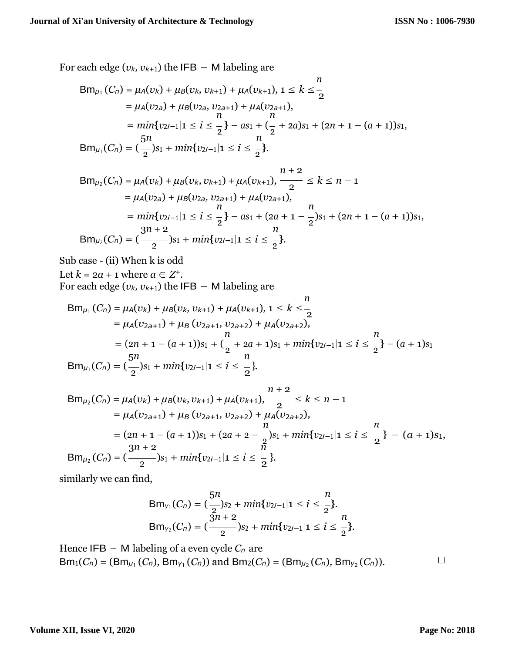For each edge ( $v_k$ ,  $v_{k+1}$ ) the IFB – M labeling are

$$
Bm_{\mu_1}(C_n) = \mu_A(v_k) + \mu_B(v_k, v_{k+1}) + \mu_A(v_{k+1}), 1 \le k \le \frac{n}{2}
$$
  
=  $\mu_A(v_{2a}) + \mu_B(v_{2a}, v_{2a+1}) + \mu_A(v_{2a+1}),$   
=  $min\{v_{2i-1}|1 \le i \le \frac{n}{2}\} - as_1 + (\frac{n}{2} + 2a)s_1 + (2n + 1 - (a + 1))s_1,$   
 $Bm_{\mu_1}(C_n) = (\frac{5n}{2})s_1 + min\{v_{2i-1}|1 \le i \le \frac{n}{2}\}.$ 

$$
Bm_{\mu_2}(C_n) = \mu_A(\nu_k) + \mu_B(\nu_k, \nu_{k+1}) + \mu_A(\nu_{k+1}), \frac{n+2}{2} \le k \le n-1
$$
  
\n
$$
= \mu_A(\nu_{2a}) + \mu_B(\nu_{2a}, \nu_{2a+1}) + \mu_A(\nu_{2a+1}),
$$
  
\n
$$
= \min\{\nu_{2i-1}|1 \le i \le \frac{1}{2}\} - as_1 + (2a+1-\frac{1}{2})s_1 + (2n+1-(a+1))s_1,
$$
  
\n
$$
Bm_{\mu_2}(C_n) = (\frac{3n+2}{2})s_1 + \min\{\nu_{2i-1}|1 \le i \le \frac{1}{2}\}.
$$

Sub case - (ii) When k is odd Let  $k = 2a + 1$  where  $a \in Z^+$ . For each edge ( $v_k$ ,  $v_{k+1}$ ) the IFB – M labeling are

$$
Bm_{\mu_1}(C_n) = \mu_A(v_k) + \mu_B(v_k, v_{k+1}) + \mu_A(v_{k+1}), 1 \le k \le \frac{n}{2}
$$
  
=  $\mu_A(v_{2a+1}) + \mu_B(v_{2a+1}, v_{2a+2}) + \mu_A(v_{2a+2}),$   
=  $(2n + 1 - (a + 1))s_1 + (\frac{n}{2} + 2a + 1)s_1 + min\{v_{2i-1}| 1 \le i \le \frac{n}{2}\} - (a + 1)s_1$   

$$
Bm_{\mu_1}(C_n) = (\frac{5n}{2})s_1 + min\{v_{2i-1}| 1 \le i \le \frac{n}{2}\}.
$$

$$
Bm_{\mu_2}(C_n) = \mu_A(v_k) + \mu_B(v_k, v_{k+1}) + \mu_A(v_{k+1}), \frac{n+2}{2} \le k \le n-1
$$
  
\n
$$
= \mu_A(v_{2a+1}) + \mu_B(v_{2a+1}, v_{2a+2}) + \mu_A(v_{2a+2}),
$$
  
\n
$$
= (2n + 1 - (a + 1))s_1 + (2a + 2 - \frac{1}{2})s_1 + min\{v_{2i-1}|1 \le i \le \frac{n}{2}\} - (a + 1)s_1,
$$
  
\n
$$
Bm_{\mu_2}(C_n) = (\frac{3n+2}{2})s_1 + min\{v_{2i-1}|1 \le i \le \frac{n}{2}\}.
$$

similarly we can find,

$$
Bm_{\gamma_1}(C_n) = \left(\frac{5n}{2}\right) s_2 + min\{v_{2i-1} | 1 \leq i \leq \frac{n}{2}\}.
$$
  
\n
$$
Bm_{\gamma_2}(C_n) = \left(\frac{3n+2}{2}\right) s_2 + min\{v_{2i-1} | 1 \leq i \leq \frac{n}{2}\}.
$$

Hence  $IFB - M$  labeling of a even cycle  $C_n$  are  $Bm_1(C_n) = (Bm_{\mu_1}(C_n), Bm_{\gamma_1}(C_n))$  and  $Bm_2(C_n) = (Bm_{\mu_2}(C_n), Bm_{\gamma_2}(C_n))$ .

 $\Box$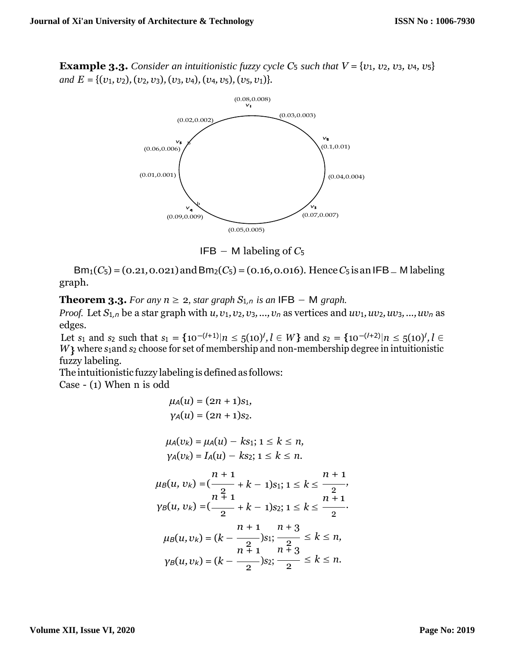**Example 3.3.** *Consider an intuitionistic fuzzy cycle*  $C_5$  *such that*  $V = \{v_1, v_2, v_3, v_4, v_5\}$ *and*  $E = \{(v_1, v_2), (v_2, v_3), (v_3, v_4), (v_4, v_5), (v_5, v_1)\}.$ 



IFB − M labeling of *C*<sup>5</sup>

 $Bm_1(C_5) = (0.21, 0.021)$  and  $Bm_2(C_5) = (0.16, 0.016)$ . Hence *C*<sub>5</sub> is an IFB  $\_$  M labeling graph.

**Theorem 3.3.** *For any n*  $\geq$  2*, star graph*  $S_{1,n}$  *is an* **IFB**  $-$  M *graph.* 

*Proof.* Let  $S_{1,n}$  be a star graph with  $u, v_1, v_2, v_3, ..., v_n$  as vertices and  $uv_1, uv_2, uv_3, ..., uv_n$  as edges.

W} where *s*<sub>1</sub>and *s*<sub>2</sub> choose for set of membership and non-membership degree in intuitionistic Let *s*<sub>1</sub> and *s*<sub>2</sub> such that  $s_1 = \{10^{-(l+1)} | n \le 5(10)^l, l \in W\}$  and  $s_2 = \{10^{-(l+2)} | n \le 5(10)^l, l \in W\}$ fuzzy labeling.

The intuitionistic fuzzy labeling is defined as follows:

Case - (1) When n is odd

$$
\mu_{A}(u) = (2n + 1)s_{1},
$$
\n
$$
\gamma_{A}(u) = (2n + 1)s_{2}.
$$
\n
$$
\mu_{A}(v_{k}) = \mu_{A}(u) - ks_{1}; 1 \leq k \leq n,
$$
\n
$$
\gamma_{A}(v_{k}) = I_{A}(u) - ks_{2}; 1 \leq k \leq n.
$$
\n
$$
\mu_{B}(u, v_{k}) = \left(\frac{n + 1}{2} + k - 1\right)s_{1}; 1 \leq k \leq \frac{n + 1}{2},
$$
\n
$$
\gamma_{B}(u, v_{k}) = \left(\frac{n + 1}{2} + k - 1\right)s_{2}; 1 \leq k \leq \frac{n + 1}{2}.
$$
\n
$$
\mu_{B}(u, v_{k}) = (k - \frac{n + 1}{2})s_{1}; \frac{2}{2} \leq k \leq n,
$$
\n
$$
\gamma_{B}(u, v_{k}) = (k - \frac{n + 1}{2})s_{2}; \frac{2}{2} \leq k \leq n.
$$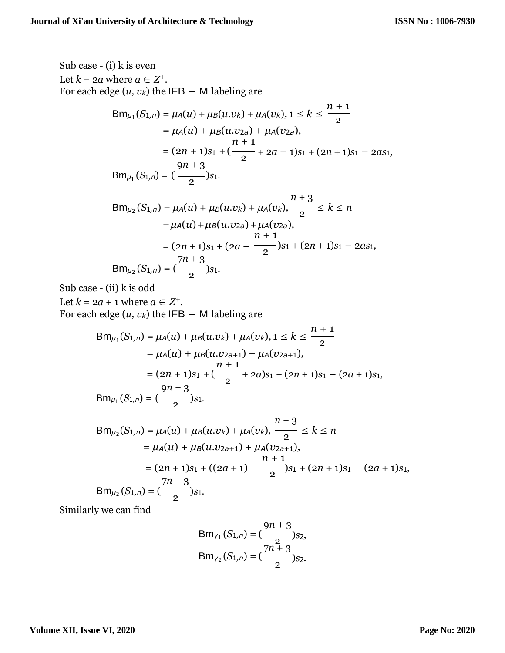Sub case - (i) k is even  
\nLet 
$$
k = 2a
$$
 where  $a \in Z^+$ .  
\nFor each edge  $(u, v_k)$  the IFB – M labeling are  
\n
$$
Bm_{\mu_1}(S_{1,n}) = \mu_A(u) + \mu_B(u.v_k) + \mu_A(v_k), 1 \le k \le \frac{n+1}{2}
$$
\n
$$
= \mu_A(u) + \mu_B(u.v_k) + \mu_A(v_{2a}),
$$
\n
$$
= (2n + 1)s_1 + (\frac{n+1}{2} + 2a - 1)s_1 + (2n + 1)s_1 - 2as_1,
$$
\n
$$
9n + 3
$$
\n
$$
Bm_{\mu_1}(S_{1,n}) = (\frac{n+3}{2})s_1.
$$
\n
$$
Bm_{\mu_2}(S_{1,n}) = \mu_A(u) + \mu_B(u.v_k) + \mu_A(v_k), \frac{n+3}{2} \le k \le n
$$
\n
$$
= \mu_A(u) + \mu_B(u.v_{2a}) + \mu_A(v_{2a}),
$$
\n
$$
= (2n + 1)s_1 + (2a - \frac{n+1}{2})s_1 + (2n + 1)s_1 - 2as_1,
$$
\n
$$
= \frac{7n + 3}{2}.
$$
\n
$$
Bm_{\mu_2}(S_{1,n}) = (\frac{7n + 3}{2})s_1.
$$

Sub case - (ii) k is odd

Let  $k = 2a + 1$  where  $a \in Z^+$ . For each edge  $(u, v_k)$  the IFB  $-$  M labeling are

$$
Bm_{\mu_1}(S_{1,n}) = \mu_A(u) + \mu_B(u.v_k) + \mu_A(v_k), 1 \le k \le \frac{n+1}{2}
$$
  
=  $\mu_A(u) + \mu_B(u.v_{2a+1}) + \mu_A(v_{2a+1}),$   

$$
= (2n+1)s_1 + (\frac{n+1}{2} + 2a)s_1 + (2n+1)s_1 - (2a+1)s_1,
$$
  

$$
Bm_{\mu_1}(S_{1,n}) = (\frac{n+3}{2})s_1.
$$

$$
Bm_{\mu_2}(S_{1,n}) = \mu_A(u) + \mu_B(u.v_k) + \mu_A(v_k), \frac{n+3}{2} \le k \le n
$$
  
=  $\mu_A(u) + \mu_B(u.v_{2a+1}) + \mu_A(v_{2a+1}),$   
=  $(2n+1)s_1 + ((2a+1) - \frac{n+1}{2})s_1 + (2n+1)s_1 - (2a+1)s_1,$   

$$
Bm_{\mu_2}(S_{1,n}) = (\frac{7n+3}{2})s_1.
$$

Similarly we can find

$$
Bm_{\gamma_1}(S_{1,n}) = \left(\frac{9n+3}{2}\right)_{S_2},
$$
  
\n
$$
Bm_{\gamma_2}(S_{1,n}) = \left(\frac{7n+3}{2}\right)_{S_2}.
$$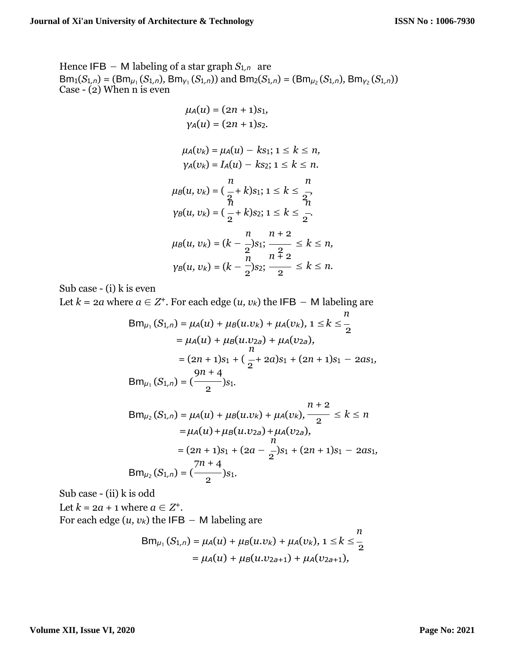Hence IFB – M labeling of a star graph  $S_{1,n}$  are  $Bm_1(S_{1,n}) = (Bm_{\mu_1}(S_{1,n}), Bm_{\gamma_1}(S_{1,n}))$  and  $Bm_2(S_{1,n}) = (Bm_{\mu_2}(S_{1,n}), Bm_{\gamma_2}(S_{1,n}))$ Case - (2) When n is even

$$
\mu_{A}(u) = (2n + 1)s_{1},
$$
\n
$$
\gamma_{A}(u) = (2n + 1)s_{2}.
$$
\n
$$
\mu_{A}(v_{k}) = \mu_{A}(u) - ks_{1}; 1 \leq k \leq n,
$$
\n
$$
\gamma_{A}(v_{k}) = I_{A}(u) - ks_{2}; 1 \leq k \leq n.
$$
\n
$$
\mu_{B}(u, v_{k}) = \left(\frac{n}{2} + k\right)s_{1}; 1 \leq k \leq \frac{n}{2},
$$
\n
$$
\gamma_{B}(u, v_{k}) = \left(\frac{n}{2} + k\right)s_{2}; 1 \leq k \leq \frac{n}{2}.
$$
\n
$$
\mu_{B}(u, v_{k}) = (k - \frac{n}{2})s_{1}; \frac{n + 2}{2} \leq k \leq n,
$$
\n
$$
\gamma_{B}(u, v_{k}) = (k - \frac{n}{2})s_{2}; \frac{n + 2}{2} \leq k \leq n.
$$

Sub case - (i) k is even

Let  $k = 2a$  where  $a \in \mathbb{Z}^+$ . For each edge  $(u, v_k)$  the IFB  $-$  M labeling are

$$
Bm_{\mu_1}(S_{1,n}) = \mu_A(u) + \mu_B(u.v_k) + \mu_A(v_k), 1 \le k \le \frac{n}{2}
$$
  
=  $\mu_A(u) + \mu_B(u.v_{2a}) + \mu_A(v_{2a}),$   
=  $(2n + 1)s_1 + (\frac{n}{2} + 2a)s_1 + (2n + 1)s_1 - 2as_1,$   
 $9n + 4$   
 $Bm_{\mu_1}(S_{1,n}) = (\frac{n+4}{2})s_1.$ 

$$
Bm_{\mu_2}(S_{1,n}) = \mu_A(u) + \mu_B(u.v_k) + \mu_A(v_k), \frac{n+2}{2} \le k \le n
$$
  
\n
$$
= \mu_A(u) + \mu_B(u.v_{2a}) + \mu_A(v_{2a}),
$$
  
\n
$$
= (2n + 1)s_1 + (2a - \frac{1}{2})s_1 + (2n + 1)s_1 - 2as_1,
$$
  
\n
$$
Bm_{\mu_2}(S_{1,n}) = (\frac{7n + 4}{2})s_1.
$$

Sub case - (ii) k is odd

Let  $k = 2a + 1$  where  $a \in Z^+$ . For each edge  $(u, v_k)$  the IFB – M labeling are

$$
Bm_{\mu_1}(S_{1,n}) = \mu_A(u) + \mu_B(u.v_k) + \mu_A(v_k), 1 \le k \le \frac{n}{2}
$$
  
=  $\mu_A(u) + \mu_B(u.v_{2a+1}) + \mu_A(v_{2a+1}),$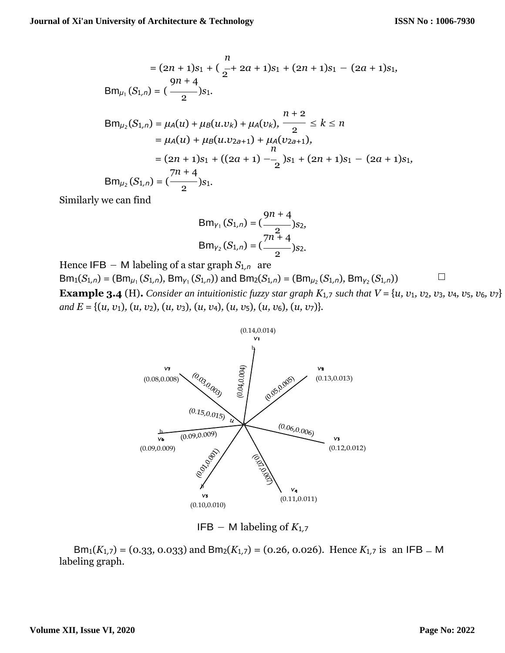$$
n
$$
\n
$$
= (2n + 1)s_1 + (\frac{n}{2} + 2a + 1)s_1 + (2n + 1)s_1 - (2a + 1)s_1,
$$
\n
$$
9n + 4
$$
\n
$$
Bm_{\mu_1}(S_{1,n}) = (\frac{9n + 4}{2})s_1.
$$
\n
$$
n + 2
$$
\n
$$
Bm_{\mu_2}(S_{1,n}) = \mu_A(u) + \mu_B(u.v_k) + \mu_A(v_k), \frac{n+2}{2} \le k \le n
$$
\n
$$
= \mu_A(u) + \mu_B(u.v_{2a+1}) + \mu_A(v_{2a+1}),
$$
\n
$$
n
$$
\n
$$
= (2n + 1)s_1 + ((2a + 1) - \frac{n}{2})s_1 + (2n + 1)s_1 - (2a + 1)s_1,
$$
\n
$$
Bm_{\mu_2}(S_{1,n}) = (\frac{7n + 4}{2})s_1.
$$

Similarly we can find

$$
Bm_{\gamma_1}(S_{1,n}) = \left(\frac{9n+4}{2}\right) s_2,
$$
  
\n
$$
Bm_{\gamma_2}(S_{1,n}) = \left(\frac{7n+4}{2}\right) s_2.
$$

Hence IFB – M labeling of a star graph  $S_{1,n}$  are  $\Box$  $Bm_1(S_{1,n}) = (Bm_{\mu_1}(S_{1,n}), Bm_{\gamma_1}(S_{1,n}))$  and  $Bm_2(S_{1,n}) = (Bm_{\mu_2}(S_{1,n}), Bm_{\gamma_2}(S_{1,n}))$ **Example 3.4** (H). Consider an intuitionistic fuzzy star graph  $K_{1,7}$  such that  $V = \{u, v_1, v_2, v_3, v_4, v_5, v_6, v_7\}$ *and E* = {(*u, v*1)*,* (*u, v*2)*,* (*u, v*3)*,* (*u, v*4)*,* (*u, v*5)*,* (*u, v*6)*,* (*u, v*7)}*.*



IFB − M labeling of *K*<sup>1</sup>*,*<sup>7</sup>

Bm<sub>1</sub>(*K*<sub>1</sub>,7) = (0.33, 0.033) and Bm<sub>2</sub>(*K*<sub>1</sub>,7) = (0.26, 0.026). Hence *K*<sub>1</sub>,7 is an IFB = M labeling graph.